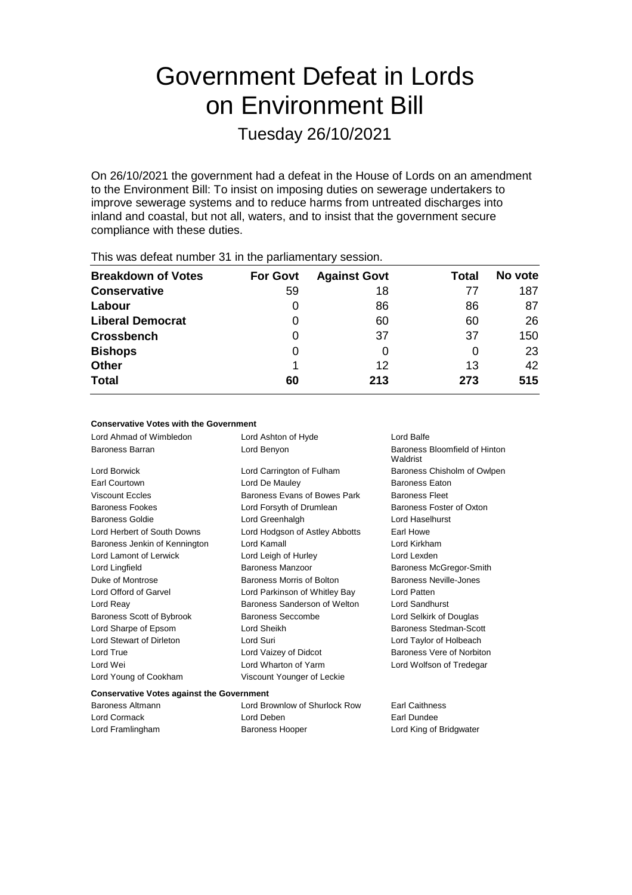# Government Defeat in Lords on Environment Bill

Tuesday 26/10/2021

On 26/10/2021 the government had a defeat in the House of Lords on an amendment to the Environment Bill: To insist on imposing duties on sewerage undertakers to improve sewerage systems and to reduce harms from untreated discharges into inland and coastal, but not all, waters, and to insist that the government secure compliance with these duties.

| This was abloat harmon of the the parliamentary occolor. |                 |                     |                |         |  |
|----------------------------------------------------------|-----------------|---------------------|----------------|---------|--|
| <b>Breakdown of Votes</b>                                | <b>For Govt</b> | <b>Against Govt</b> | Total          | No vote |  |
| <b>Conservative</b>                                      | 59              | 18                  | $\prime\prime$ | 187     |  |
| Labour                                                   | 0               | 86                  | 86             | 87      |  |
| <b>Liberal Democrat</b>                                  | 0               | 60                  | 60             | 26      |  |
| <b>Crossbench</b>                                        | 0               | 37                  | 37             | 150     |  |
| <b>Bishops</b>                                           | 0               | 0                   | 0              | 23      |  |
| <b>Other</b>                                             |                 | 12                  | 13             | 42      |  |
| <b>Total</b>                                             | 60              | 213                 | 273            | 515     |  |
|                                                          |                 |                     |                |         |  |

This was defeat number 31 in the parliamentary session.

# **Conservative Votes with the Government**

| Lord Ahmad of Wimbledon                          | Lord Ashton of Hyde            | Lord Balfe                                |  |
|--------------------------------------------------|--------------------------------|-------------------------------------------|--|
| <b>Baroness Barran</b>                           | Lord Benyon                    | Baroness Bloomfield of Hinton<br>Waldrist |  |
| Lord Borwick                                     | Lord Carrington of Fulham      | Baroness Chisholm of Owlpen               |  |
| Earl Courtown                                    | Lord De Mauley                 | <b>Baroness Eaton</b>                     |  |
| <b>Viscount Eccles</b>                           | Baroness Evans of Bowes Park   | <b>Baroness Fleet</b>                     |  |
| Baroness Fookes                                  | Lord Forsyth of Drumlean       | Baroness Foster of Oxton                  |  |
| Baroness Goldie                                  | Lord Greenhalgh                | Lord Haselhurst                           |  |
| Lord Herbert of South Downs                      | Lord Hodgson of Astley Abbotts | Earl Howe                                 |  |
| Baroness Jenkin of Kennington                    | Lord Kamall                    | Lord Kirkham                              |  |
| Lord Lamont of Lerwick                           | Lord Leigh of Hurley           | Lord Lexden                               |  |
| Lord Lingfield                                   | Baroness Manzoor               | Baroness McGregor-Smith                   |  |
| Duke of Montrose                                 | Baroness Morris of Bolton      | Baroness Neville-Jones                    |  |
| Lord Offord of Garvel                            | Lord Parkinson of Whitley Bay  | Lord Patten                               |  |
| Lord Reay                                        | Baroness Sanderson of Welton   | Lord Sandhurst                            |  |
| Baroness Scott of Bybrook                        | <b>Baroness Seccombe</b>       | Lord Selkirk of Douglas                   |  |
| Lord Sharpe of Epsom                             | Lord Sheikh                    | Baroness Stedman-Scott                    |  |
| Lord Stewart of Dirleton                         | Lord Suri                      | Lord Taylor of Holbeach                   |  |
| Lord True                                        | Lord Vaizey of Didcot          | Baroness Vere of Norbiton                 |  |
| Lord Wei                                         | Lord Wharton of Yarm           | Lord Wolfson of Tredegar                  |  |
| Lord Young of Cookham                            | Viscount Younger of Leckie     |                                           |  |
| <b>Conservative Votes against the Government</b> |                                |                                           |  |
| Baroness Altmann                                 | Lord Brownlow of Shurlock Row  | Earl Caithness                            |  |
| Lord Cormack                                     | Lord Deben                     | Earl Dundee                               |  |

Lord Framlingham Baroness Hooper Lord King of Bridgwater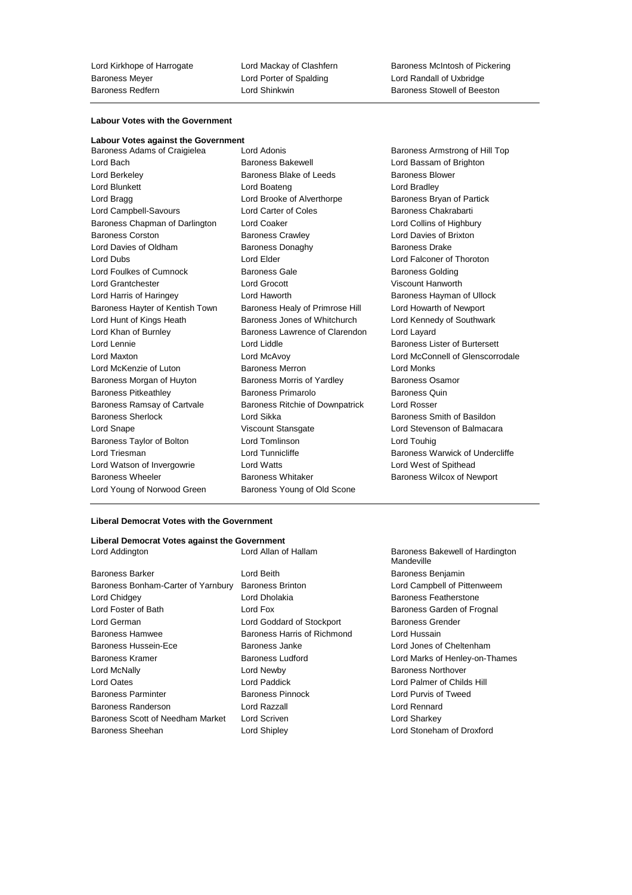Baroness Meyer **Lord Lord Porter of Spalding Lord Randall of Uxbridge**<br>Baroness Redfern **Cord Shinkwin** Lord Shinkwin **Baroness Stowell of Bees** 

Lord Kirkhope of Harrogate **Lord Mackay of Clashfern** Baroness McIntosh of Pickering Lord Shinkwin **Baroness Stowell of Beeston** 

# **Labour Votes with the Government**

**Labour Votes against the Government**<br>Baroness Adams of Craigielea Lord Adonis Baroness Adams of Craigielea Lord Adonis **Baroness Armstrong of Hill Top** Lord Bach **Baroness Bakewell Baroness Bakewell Lord Bassam of Brighton** Lord Berkeley **Baroness Blake of Leeds** Baroness Blower Lord Blunkett Lord Boateng Lord Bradley Lord Bragg **Lord Brooke of Alverthorpe** Baroness Bryan of Partick Lord Campbell-Savours **Lord Carter of Coles** Baroness Chakrabarti Baroness Chapman of Darlington Lord Coaker Lord Collins of Highbury Baroness Corston **Baroness Crawley Community** Lord Davies of Brixton Lord Davies of Oldham Baroness Donaghy Baroness Davies Drake Lord Dubs Lord Elder Lord Falconer of Thoroton Lord Foulkes of Cumnock Baroness Gale Baroness Gale Baroness Golding Lord Grantchester Lord Grocott Viscount Hanworth Lord Harris of Haringey **Lord Haworth Lord Haworth** Baroness Hayman of Ullock Baroness Hayter of Kentish Town Baroness Healy of Primrose Hill Lord Howarth of Newport Lord Hunt of Kings Heath **Baroness Jones of Whitchurch** Lord Kennedy of Southwark Lord Khan of Burnley **Baroness Lawrence of Clarendon** Lord Layard Lord Lennie **Lord Liddle Lord Liddle Baroness Lister of Burtersett** Lord Maxton Lord McAvoy Lord McConnell of Glenscorrodale Lord McKenzie of Luton Baroness Merron Lord Monks Baroness Morgan of Huyton Baroness Morris of Yardley Baroness Osamor Baroness Pitkeathley **Baroness Primarolo** Baroness Quin Baroness Ramsay of Cartvale Baroness Ritchie of Downpatrick Lord Rosser Baroness Sherlock **Lord Sikka** Baroness Smith of Basildon Lord Snape Viscount Stansgate Lord Stevenson of Balmacara Baroness Taylor of Bolton Lord Tomlinson Lord Touhig Lord Triesman **Lord Tunnicliffe Baroness Warwick of Undercliffe Baroness Warwick of Undercliffe** Lord Watson of Invergowrie Lord Watts Lord West of Spithead Baroness Wheeler **Baroness Whitaker** Baroness Whitaker **Baroness Wilcox of Newport** Lord Young of Norwood Green Baroness Young of Old Scone

# **Liberal Democrat Votes with the Government**

# **Liberal Democrat Votes against the Government**

|                                    |                             | Mandeville          |
|------------------------------------|-----------------------------|---------------------|
| Baroness Barker                    | Lord Beith                  | <b>Baroness Ber</b> |
| Baroness Bonham-Carter of Yarnbury | <b>Baroness Brinton</b>     | Lord Campbe         |
| Lord Chidgey                       | Lord Dholakia               | <b>Baroness Fea</b> |
| Lord Foster of Bath                | Lord Fox                    | <b>Baroness Gar</b> |
| Lord German                        | Lord Goddard of Stockport   | <b>Baroness Gre</b> |
| Baroness Hamwee                    | Baroness Harris of Richmond | Lord Hussain        |
| Baroness Hussein-Ece               | Baroness Janke              | Lord Jones of       |
| Baroness Kramer                    | <b>Baroness Ludford</b>     | Lord Marks of       |
| Lord McNally                       | Lord Newby                  | <b>Baroness Nor</b> |
| Lord Oates                         | Lord Paddick                | Lord Palmer o       |
| Baroness Parminter                 | <b>Baroness Pinnock</b>     | Lord Purvis of      |
| Baroness Randerson                 | Lord Razzall                | <b>Lord Rennard</b> |
| Baroness Scott of Needham Market   | Lord Scriven                | Lord Sharkey        |
| Baroness Sheehan                   | Lord Shipley                | Lord Stoneha        |

Lord Addington Lord Allan of Hallam Baroness Bakewell of Hardington Mandeville Baroness Benjamin Lord Campbell of Pittenweem Baroness Featherstone Baroness Garden of Frognal tockport Baroness Grender Lord Jones of Cheltenham Lord Marks of Henley-on-Thames Baroness Northover Lord Palmer of Childs Hill Lord Purvis of Tweed Lord Rennard Lord Sharkey Lord Stoneham of Droxford